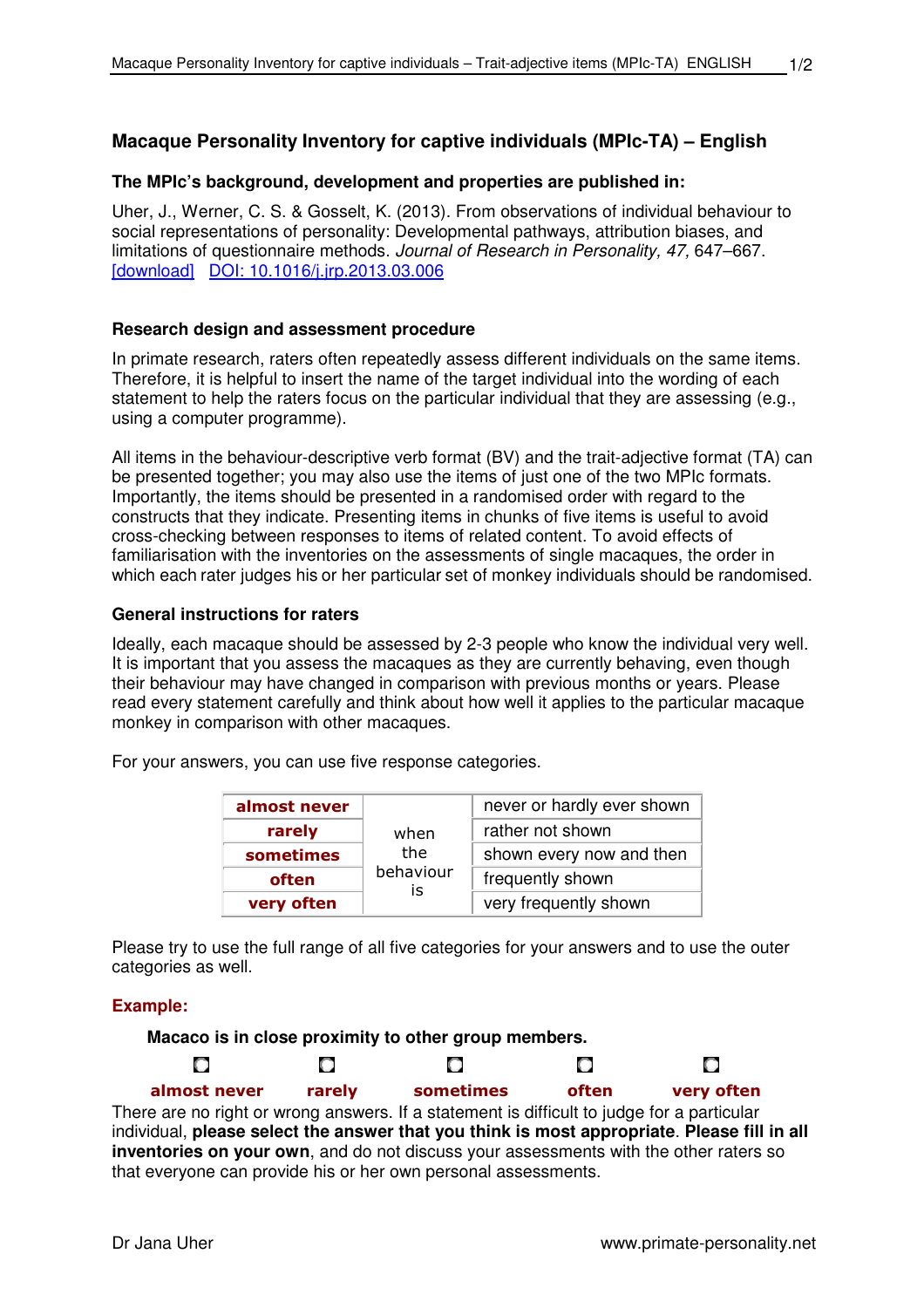# **Macaque Personality Inventory for captive individuals (MPIc-TA) – English**

## **The MPIc's background, development and properties are published in:**

Uher, J., Werner, C. S. & Gosselt, K. (2013). From observations of individual behaviour to social representations of personality: Developmental pathways, attribution biases, and limitations of questionnaire methods. Journal of Research in Personality, 47, 647–667. [download] DOI: 10.1016/j.jrp.2013.03.006

### **Research design and assessment procedure**

In primate research, raters often repeatedly assess different individuals on the same items. Therefore, it is helpful to insert the name of the target individual into the wording of each statement to help the raters focus on the particular individual that they are assessing (e.g., using a computer programme).

All items in the behaviour-descriptive verb format (BV) and the trait-adjective format (TA) can be presented together; you may also use the items of just one of the two MPIc formats. Importantly, the items should be presented in a randomised order with regard to the constructs that they indicate. Presenting items in chunks of five items is useful to avoid cross-checking between responses to items of related content. To avoid effects of familiarisation with the inventories on the assessments of single macaques, the order in which each rater judges his or her particular set of monkey individuals should be randomised.

### **General instructions for raters**

Ideally, each macaque should be assessed by 2-3 people who know the individual very well. It is important that you assess the macaques as they are currently behaving, even though their behaviour may have changed in comparison with previous months or years. Please read every statement carefully and think about how well it applies to the particular macaque monkey in comparison with other macaques.

For your answers, you can use five response categories.

| almost never | when            | never or hardly ever shown<br>rather not shown<br>shown every now and then |  |  |  |  |
|--------------|-----------------|----------------------------------------------------------------------------|--|--|--|--|
| rarely       |                 |                                                                            |  |  |  |  |
| sometimes    | the             |                                                                            |  |  |  |  |
| often        | behaviour<br>İS | frequently shown                                                           |  |  |  |  |
| very often   |                 | very frequently shown                                                      |  |  |  |  |

Please try to use the full range of all five categories for your answers and to use the outer categories as well.

### **Example:**

O

**Macaco is in close proximity to other group members.**

O

**almost never rarely sometimes often very often**

There are no right or wrong answers. If a statement is difficult to judge for a particular individual, **please select the answer that you think is most appropriate**. **Please fill in all inventories on your own**, and do not discuss your assessments with the other raters so that everyone can provide his or her own personal assessments.

 $\Box$ 

 $\Box$ 

O